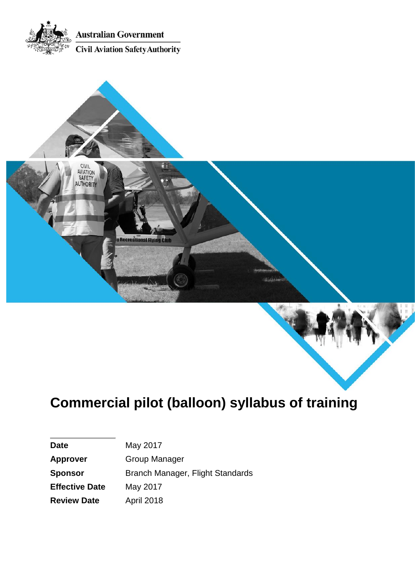





# **Commercial pilot (balloon) syllabus of training**

| <b>Date</b>           | May 2017                         |
|-----------------------|----------------------------------|
| <b>Approver</b>       | Group Manager                    |
| <b>Sponsor</b>        | Branch Manager, Flight Standards |
| <b>Effective Date</b> | May 2017                         |
| <b>Review Date</b>    | April 2018                       |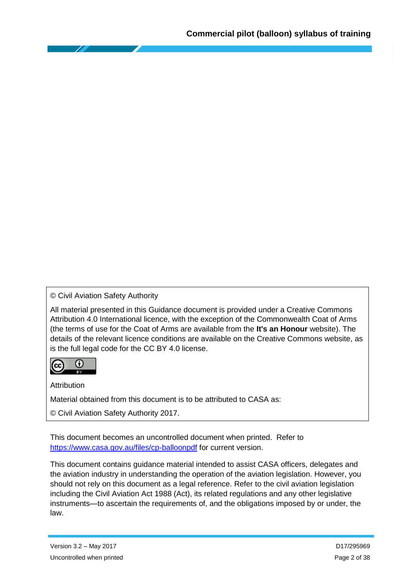### © Civil Aviation Safety Authority

All material presented in this Guidance document is provided under a Creative Commons Attribution 4.0 International licence, with the exception of the Commonwealth Coat of Arms (the terms of use for the Coat of Arms are available from the **It's an Honour** website). The details of the relevant licence conditions are available on the Creative Commons website, as is the full legal code for the CC BY 4.0 license.



**Attribution** 

Material obtained from this document is to be attributed to CASA as:

© Civil Aviation Safety Authority 2017.

This document becomes an uncontrolled document when printed. Refer to <https://www.casa.gov.au/files/cp-balloonpdf> for current version.

This document contains guidance material intended to assist CASA officers, delegates and the aviation industry in understanding the operation of the aviation legislation. However, you should not rely on this document as a legal reference. Refer to the civil aviation legislation including the Civil Aviation Act 1988 (Act), its related regulations and any other legislative instruments—to ascertain the requirements of, and the obligations imposed by or under, the law.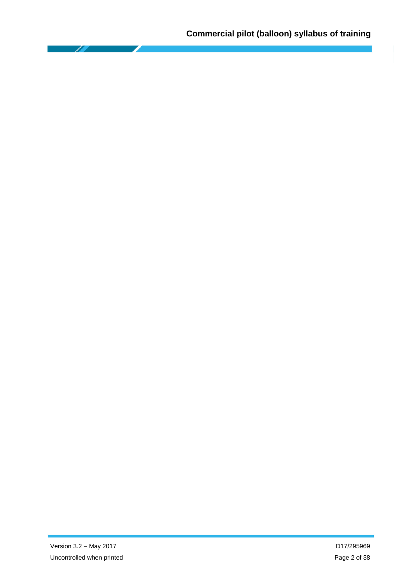a di Bar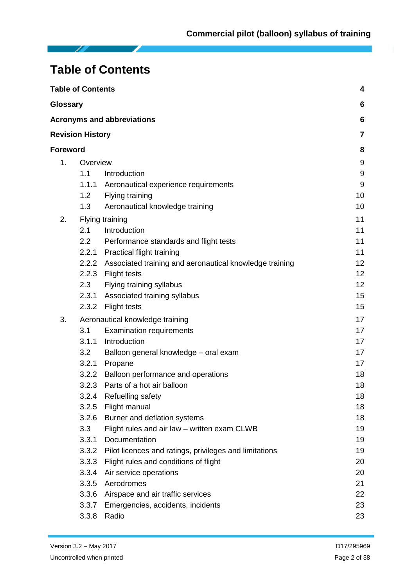# <span id="page-3-0"></span>**Table of Contents**

|                 | <b>Table of Contents</b> |                                                               | 4               |
|-----------------|--------------------------|---------------------------------------------------------------|-----------------|
| Glossary        |                          |                                                               | 6               |
|                 |                          | <b>Acronyms and abbreviations</b>                             | 6               |
|                 | <b>Revision History</b>  |                                                               | $\overline{7}$  |
| <b>Foreword</b> |                          |                                                               | 8               |
| 1.              | Overview                 |                                                               | 9               |
|                 | 1.1                      | Introduction                                                  | 9               |
|                 | 1.1.1                    | Aeronautical experience requirements                          | 9               |
|                 | 1.2                      | Flying training                                               | 10              |
|                 | 1.3                      | Aeronautical knowledge training                               | 10              |
| 2.              |                          | Flying training                                               | 11              |
|                 | 2.1                      | Introduction                                                  | 11              |
|                 |                          | 2.2 Performance standards and flight tests                    | 11              |
|                 | 2.2.1                    | Practical flight training                                     | 11              |
|                 |                          | 2.2.2 Associated training and aeronautical knowledge training | 12 <sub>2</sub> |
|                 | 2.2.3                    | <b>Flight tests</b>                                           | 12              |
|                 | 2.3                      | Flying training syllabus                                      | 12              |
|                 |                          | 2.3.1 Associated training syllabus                            | 15              |
|                 |                          | 2.3.2 Flight tests                                            | 15              |
| 3.              |                          | Aeronautical knowledge training                               | 17              |
|                 | 3.1                      | <b>Examination requirements</b>                               | 17              |
|                 | 3.1.1                    | Introduction                                                  | 17              |
|                 | 3.2                      | Balloon general knowledge - oral exam                         | 17              |
|                 |                          | 3.2.1 Propane                                                 | 17              |
|                 |                          | 3.2.2 Balloon performance and operations                      | 18              |
|                 |                          | 3.2.3 Parts of a hot air balloon                              | 18              |
|                 |                          | 3.2.4 Refuelling safety                                       | 18              |
|                 | 3.2.5                    | Flight manual                                                 | 18              |
|                 |                          | 3.2.6 Burner and deflation systems                            | 18              |
|                 | 3.3 <sub>2</sub>         | Flight rules and air law - written exam CLWB                  | 19              |
|                 | 3.3.1                    | Documentation                                                 | 19              |
|                 | 3.3.2                    | Pilot licences and ratings, privileges and limitations        | 19              |
|                 | 3.3.3                    | Flight rules and conditions of flight                         | 20              |
|                 | 3.3.4                    | Air service operations                                        | 20              |
|                 | 3.3.5                    | Aerodromes                                                    | 21              |
|                 | 3.3.6                    | Airspace and air traffic services                             | 22              |
|                 | 3.3.7                    | Emergencies, accidents, incidents                             | 23              |
|                 | 3.3.8                    | Radio                                                         | 23              |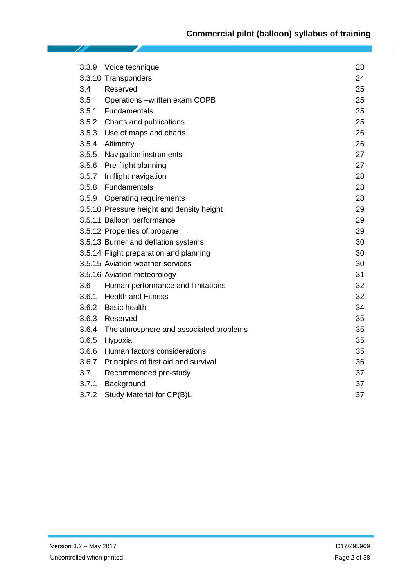|       | 3.3.9 Voice technique                        | 23 |
|-------|----------------------------------------------|----|
|       | 3.3.10 Transponders                          | 24 |
| 3.4   | Reserved                                     | 25 |
| 3.5   | Operations -written exam COPB                | 25 |
|       | 3.5.1 Fundamentals                           | 25 |
|       | 3.5.2 Charts and publications                | 25 |
|       | 3.5.3 Use of maps and charts                 | 26 |
|       | 3.5.4 Altimetry                              | 26 |
| 3.5.5 | <b>Navigation instruments</b>                | 27 |
|       | 3.5.6 Pre-flight planning                    | 27 |
|       | 3.5.7 In flight navigation                   | 28 |
|       | 3.5.8 Fundamentals                           | 28 |
|       | 3.5.9 Operating requirements                 | 28 |
|       | 3.5.10 Pressure height and density height    | 29 |
|       | 3.5.11 Balloon performance                   | 29 |
|       | 3.5.12 Properties of propane                 | 29 |
|       | 3.5.13 Burner and deflation systems          | 30 |
|       | 3.5.14 Flight preparation and planning       | 30 |
|       | 3.5.15 Aviation weather services             | 30 |
|       | 3.5.16 Aviation meteorology                  | 31 |
| 3.6   | Human performance and limitations            | 32 |
|       | 3.6.1 Health and Fitness                     | 32 |
|       | 3.6.2 Basic health                           | 34 |
|       | 3.6.3 Reserved                               | 35 |
|       | 3.6.4 The atmosphere and associated problems | 35 |
| 3.6.5 | Hypoxia                                      | 35 |
| 3.6.6 | Human factors considerations                 | 35 |
| 3.6.7 | Principles of first aid and survival         | 36 |
| 3.7   | Recommended pre-study                        | 37 |
| 3.7.1 | Background                                   | 37 |
| 3.7.2 | Study Material for CP(B)L                    | 37 |

a di Bar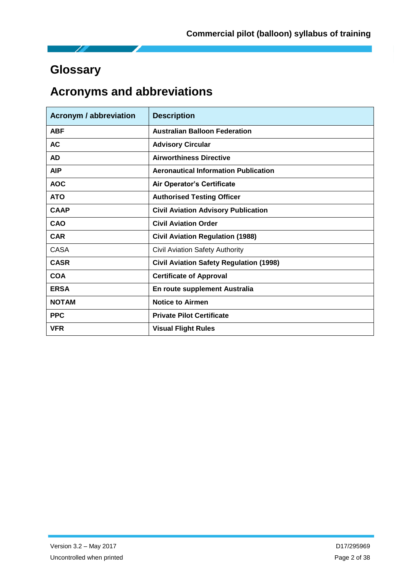# <span id="page-5-0"></span>**Glossary**

# <span id="page-5-1"></span>**Acronyms and abbreviations**

| <b>Acronym / abbreviation</b> | <b>Description</b>                             |
|-------------------------------|------------------------------------------------|
| <b>ABF</b>                    | <b>Australian Balloon Federation</b>           |
| <b>AC</b>                     | <b>Advisory Circular</b>                       |
| <b>AD</b>                     | <b>Airworthiness Directive</b>                 |
| <b>AIP</b>                    | <b>Aeronautical Information Publication</b>    |
| <b>AOC</b>                    | <b>Air Operator's Certificate</b>              |
| <b>ATO</b>                    | <b>Authorised Testing Officer</b>              |
| <b>CAAP</b>                   | <b>Civil Aviation Advisory Publication</b>     |
| CAO                           | <b>Civil Aviation Order</b>                    |
| <b>CAR</b>                    | <b>Civil Aviation Regulation (1988)</b>        |
| CASA                          | Civil Aviation Safety Authority                |
| <b>CASR</b>                   | <b>Civil Aviation Safety Regulation (1998)</b> |
| <b>COA</b>                    | <b>Certificate of Approval</b>                 |
| <b>ERSA</b>                   | En route supplement Australia                  |
| <b>NOTAM</b>                  | <b>Notice to Airmen</b>                        |
| <b>PPC</b>                    | <b>Private Pilot Certificate</b>               |
| <b>VFR</b>                    | <b>Visual Flight Rules</b>                     |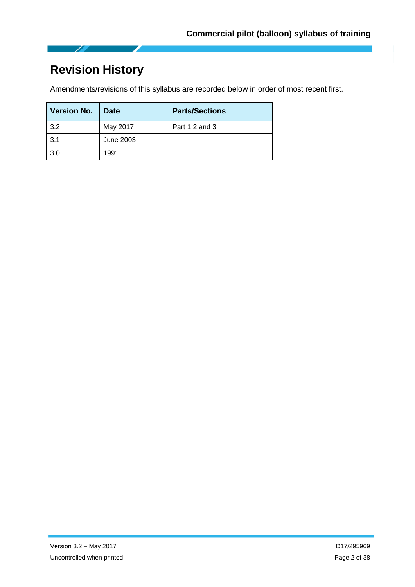# <span id="page-6-0"></span>**Revision History**

Amendments/revisions of this syllabus are recorded below in order of most recent first.

| <b>Version No.</b><br><b>Date</b> |           | <b>Parts/Sections</b> |  |
|-----------------------------------|-----------|-----------------------|--|
| 3.2                               | May 2017  | Part 1,2 and 3        |  |
| 3.1                               | June 2003 |                       |  |
| 3.0                               | 1991      |                       |  |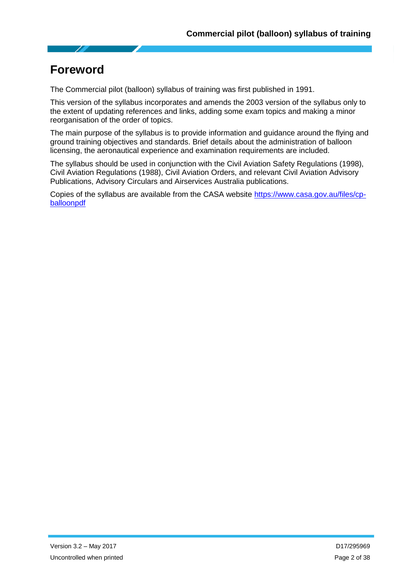# <span id="page-7-0"></span>**Foreword**

The Commercial pilot (balloon) syllabus of training was first published in 1991.

This version of the syllabus incorporates and amends the 2003 version of the syllabus only to the extent of updating references and links, adding some exam topics and making a minor reorganisation of the order of topics.

The main purpose of the syllabus is to provide information and guidance around the flying and ground training objectives and standards. Brief details about the administration of balloon licensing, the aeronautical experience and examination requirements are included.

The syllabus should be used in conjunction with the Civil Aviation Safety Regulations (1998), Civil Aviation Regulations (1988), Civil Aviation Orders, and relevant Civil Aviation Advisory Publications, Advisory Circulars and Airservices Australia publications.

Copies of the syllabus are available from the CASA website [https://www.casa.gov.au/files/cp](https://www.casa.gov.au/files/cp-balloonpdf)[balloonpdf](https://www.casa.gov.au/files/cp-balloonpdf)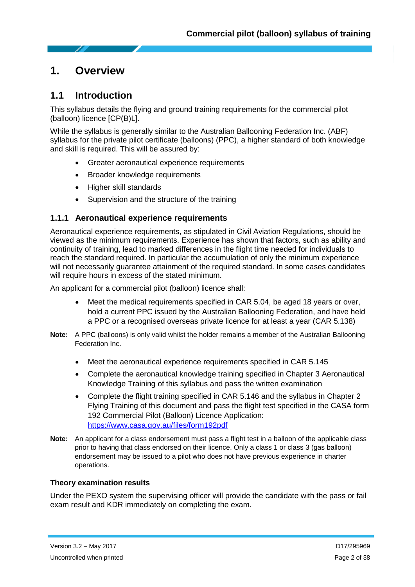# <span id="page-8-0"></span>**1. Overview**

# <span id="page-8-1"></span>**1.1 Introduction**

This syllabus details the flying and ground training requirements for the commercial pilot (balloon) licence [CP(B)L].

While the syllabus is generally similar to the Australian Ballooning Federation Inc. (ABF) syllabus for the private pilot certificate (balloons) (PPC), a higher standard of both knowledge and skill is required. This will be assured by:

- Greater aeronautical experience requirements
- Broader knowledge requirements
- Higher skill standards
- Supervision and the structure of the training

#### <span id="page-8-2"></span>**1.1.1 Aeronautical experience requirements**

Aeronautical experience requirements, as stipulated in Civil Aviation Regulations, should be viewed as the minimum requirements. Experience has shown that factors, such as ability and continuity of training, lead to marked differences in the flight time needed for individuals to reach the standard required. In particular the accumulation of only the minimum experience will not necessarily guarantee attainment of the required standard. In some cases candidates will require hours in excess of the stated minimum.

An applicant for a commercial pilot (balloon) licence shall:

- Meet the medical requirements specified in CAR 5.04, be aged 18 years or over, hold a current PPC issued by the Australian Ballooning Federation, and have held a PPC or a recognised overseas private licence for at least a year (CAR 5.138)
- **Note:** A PPC (balloons) is only valid whilst the holder remains a member of the Australian Ballooning Federation Inc.
	- Meet the aeronautical experience requirements specified in CAR 5.145
	- Complete the aeronautical knowledge training specified in Chapter 3 Aeronautical Knowledge Training of this syllabus and pass the written examination
	- Complete the flight training specified in CAR 5.146 and the syllabus in Chapter 2 Flying Training of this document and pass the flight test specified in the CASA form 192 Commercial Pilot (Balloon) Licence Application: <https://www.casa.gov.au/files/form192pdf>
- **Note:** An applicant for a class endorsement must pass a flight test in a balloon of the applicable class prior to having that class endorsed on their licence. Only a class 1 or class 3 (gas balloon) endorsement may be issued to a pilot who does not have previous experience in charter operations.

#### **Theory examination results**

Under the PEXO system the supervising officer will provide the candidate with the pass or fail exam result and KDR immediately on completing the exam.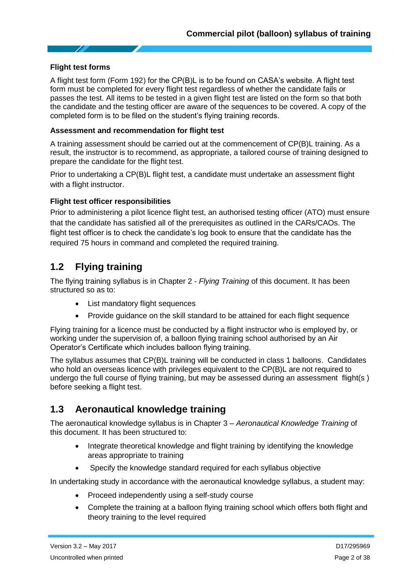#### **Flight test forms**

A flight test form (Form 192) for the CP(B)L is to be found on CASA's website. A flight test form must be completed for every flight test regardless of whether the candidate fails or passes the test. All items to be tested in a given flight test are listed on the form so that both the candidate and the testing officer are aware of the sequences to be covered. A copy of the completed form is to be filed on the student's flying training records.

#### **Assessment and recommendation for flight test**

A training assessment should be carried out at the commencement of CP(B)L training. As a result, the instructor is to recommend, as appropriate, a tailored course of training designed to prepare the candidate for the flight test.

Prior to undertaking a CP(B)L flight test, a candidate must undertake an assessment flight with a flight instructor.

#### **Flight test officer responsibilities**

Prior to administering a pilot licence flight test, an authorised testing officer (ATO) must ensure that the candidate has satisfied all of the prerequisites as outlined in the CARs/CAOs. The flight test officer is to check the candidate's log book to ensure that the candidate has the required 75 hours in command and completed the required training.

# <span id="page-9-0"></span>**1.2 Flying training**

The flying training syllabus is in Chapter 2 - *Flying Training* of this document. It has been structured so as to:

- List mandatory flight sequences
- Provide guidance on the skill standard to be attained for each flight sequence

Flying training for a licence must be conducted by a flight instructor who is employed by, or working under the supervision of, a balloon flying training school authorised by an Air Operator's Certificate which includes balloon flying training.

The syllabus assumes that CP(B)L training will be conducted in class 1 balloons. Candidates who hold an overseas licence with privileges equivalent to the CP(B)L are not required to undergo the full course of flying training, but may be assessed during an assessment flight(s ) before seeking a flight test.

# <span id="page-9-1"></span>**1.3 Aeronautical knowledge training**

The aeronautical knowledge syllabus is in Chapter 3 – *Aeronautical Knowledge Training* of this document. It has been structured to:

- Integrate theoretical knowledge and flight training by identifying the knowledge areas appropriate to training
- Specify the knowledge standard required for each syllabus objective

In undertaking study in accordance with the aeronautical knowledge syllabus, a student may:

- Proceed independently using a self-study course
- Complete the training at a balloon flying training school which offers both flight and theory training to the level required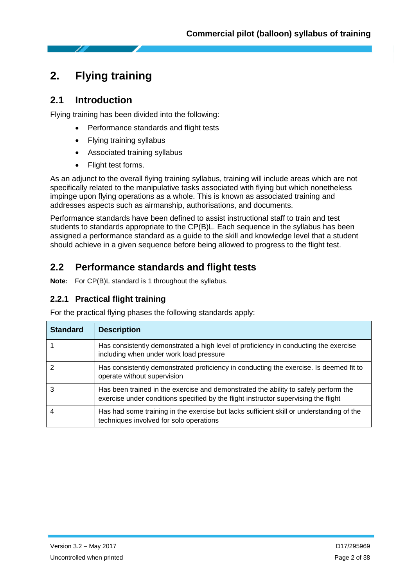# <span id="page-10-0"></span>**2. Flying training**

# <span id="page-10-1"></span>**2.1 Introduction**

Flying training has been divided into the following:

- Performance standards and flight tests
- Flying training syllabus
- Associated training syllabus
- Flight test forms.

As an adjunct to the overall flying training syllabus, training will include areas which are not specifically related to the manipulative tasks associated with flying but which nonetheless impinge upon flying operations as a whole. This is known as associated training and addresses aspects such as airmanship, authorisations, and documents.

Performance standards have been defined to assist instructional staff to train and test students to standards appropriate to the CP(B)L. Each sequence in the syllabus has been assigned a performance standard as a guide to the skill and knowledge level that a student should achieve in a given sequence before being allowed to progress to the flight test.

# <span id="page-10-2"></span>**2.2 Performance standards and flight tests**

**Note:** For CP(B)L standard is 1 throughout the syllabus.

## <span id="page-10-3"></span>**2.2.1 Practical flight training**

For the practical flying phases the following standards apply:

| <b>Standard</b> | <b>Description</b>                                                                                                                                                         |
|-----------------|----------------------------------------------------------------------------------------------------------------------------------------------------------------------------|
|                 | Has consistently demonstrated a high level of proficiency in conducting the exercise<br>including when under work load pressure                                            |
|                 | Has consistently demonstrated proficiency in conducting the exercise. Is deemed fit to<br>operate without supervision                                                      |
| 3               | Has been trained in the exercise and demonstrated the ability to safely perform the<br>exercise under conditions specified by the flight instructor supervising the flight |
| 4               | Has had some training in the exercise but lacks sufficient skill or understanding of the<br>techniques involved for solo operations                                        |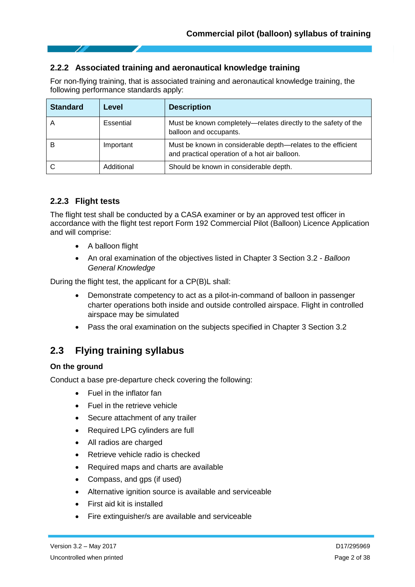## <span id="page-11-0"></span>**2.2.2 Associated training and aeronautical knowledge training**

For non-flying training, that is associated training and aeronautical knowledge training, the following performance standards apply:

| <b>Standard</b> | Level      | <b>Description</b>                                                                                            |
|-----------------|------------|---------------------------------------------------------------------------------------------------------------|
| A               | Essential  | Must be known completely—relates directly to the safety of the<br>balloon and occupants.                      |
| В               | Important  | Must be known in considerable depth—relates to the efficient<br>and practical operation of a hot air balloon. |
|                 | Additional | Should be known in considerable depth.                                                                        |

## <span id="page-11-1"></span>**2.2.3 Flight tests**

The flight test shall be conducted by a CASA examiner or by an approved test officer in accordance with the flight test report Form 192 Commercial Pilot (Balloon) Licence Application and will comprise:

- A balloon flight
- An oral examination of the objectives listed in Chapter 3 Section 3.2 *Balloon General Knowledge*

During the flight test, the applicant for a CP(B)L shall:

- Demonstrate competency to act as a pilot-in-command of balloon in passenger charter operations both inside and outside controlled airspace. Flight in controlled airspace may be simulated
- Pass the oral examination on the subjects specified in Chapter 3 Section 3.2

# <span id="page-11-2"></span>**2.3 Flying training syllabus**

### **On the ground**

Conduct a base pre-departure check covering the following:

- Fuel in the inflator fan
- Fuel in the retrieve vehicle
- Secure attachment of any trailer
- Required LPG cylinders are full
- All radios are charged
- Retrieve vehicle radio is checked
- Required maps and charts are available
- Compass, and gps (if used)
- Alternative ignition source is available and serviceable
- First aid kit is installed
- Fire extinguisher/s are available and serviceable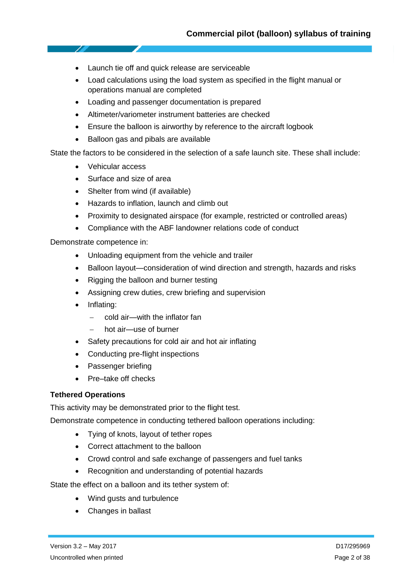- Launch tie off and quick release are serviceable
- Load calculations using the load system as specified in the flight manual or operations manual are completed
- Loading and passenger documentation is prepared
- Altimeter/variometer instrument batteries are checked
- Ensure the balloon is airworthy by reference to the aircraft logbook
- Balloon gas and pibals are available

State the factors to be considered in the selection of a safe launch site. These shall include:

- Vehicular access
- Surface and size of area
- Shelter from wind (if available)
- Hazards to inflation, launch and climb out
- Proximity to designated airspace (for example, restricted or controlled areas)
- Compliance with the ABF landowner relations code of conduct

Demonstrate competence in:

- Unloading equipment from the vehicle and trailer
- Balloon layout—consideration of wind direction and strength, hazards and risks
- Rigging the balloon and burner testing
- Assigning crew duties, crew briefing and supervision
- Inflating:
	- cold air—with the inflator fan
	- hot air—use of burner
- Safety precautions for cold air and hot air inflating
- Conducting pre-flight inspections
- Passenger briefing
- Pre–take off checks

#### **Tethered Operations**

This activity may be demonstrated prior to the flight test.

Demonstrate competence in conducting tethered balloon operations including:

- Tying of knots, layout of tether ropes
- Correct attachment to the balloon
- Crowd control and safe exchange of passengers and fuel tanks
- Recognition and understanding of potential hazards

State the effect on a balloon and its tether system of:

- Wind gusts and turbulence
- Changes in ballast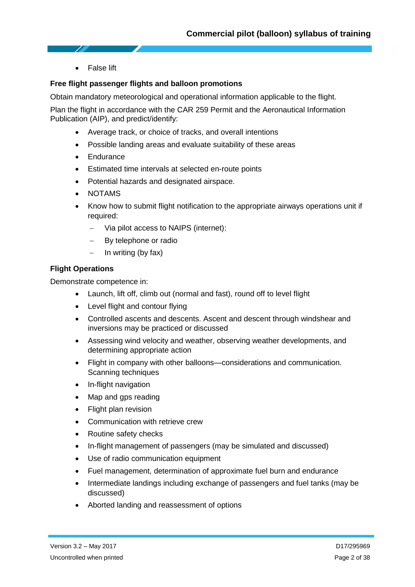**•** False lift

#### **Free flight passenger flights and balloon promotions**

Obtain mandatory meteorological and operational information applicable to the flight.

Plan the flight in accordance with the CAR 259 Permit and the Aeronautical Information Publication (AIP), and predict/identify:

- Average track, or choice of tracks, and overall intentions
- Possible landing areas and evaluate suitability of these areas
- **Endurance**
- Estimated time intervals at selected en-route points
- Potential hazards and designated airspace.
- NOTAMS
- Know how to submit flight notification to the appropriate airways operations unit if required:
	- Via pilot access to NAIPS (internet):
	- By telephone or radio
	- In writing (by fax)

#### **Flight Operations**

Demonstrate competence in:

- Launch, lift off, climb out (normal and fast), round off to level flight
- Level flight and contour flying
- Controlled ascents and descents. Ascent and descent through windshear and inversions may be practiced or discussed
- Assessing wind velocity and weather, observing weather developments, and determining appropriate action
- Flight in company with other balloons—considerations and communication. Scanning techniques
- In-flight navigation
- Map and gps reading
- Flight plan revision
- Communication with retrieve crew
- Routine safety checks
- In-flight management of passengers (may be simulated and discussed)
- Use of radio communication equipment
- Fuel management, determination of approximate fuel burn and endurance
- Intermediate landings including exchange of passengers and fuel tanks (may be discussed)
- Aborted landing and reassessment of options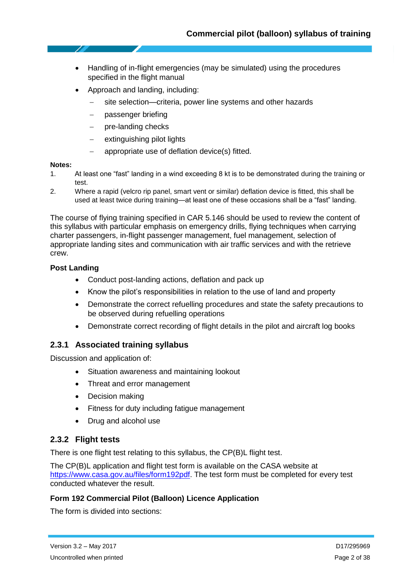- Handling of in-flight emergencies (may be simulated) using the procedures specified in the flight manual
- Approach and landing, including:
	- site selection—criteria, power line systems and other hazards
	- passenger briefing
	- pre-landing checks
	- extinguishing pilot lights
	- appropriate use of deflation device(s) fitted.

#### **Notes:**

- 1. At least one "fast" landing in a wind exceeding 8 kt is to be demonstrated during the training or test.
- 2. Where a rapid (velcro rip panel, smart vent or similar) deflation device is fitted, this shall be used at least twice during training—at least one of these occasions shall be a "fast" landing.

The course of flying training specified in CAR 5.146 should be used to review the content of this syllabus with particular emphasis on emergency drills, flying techniques when carrying charter passengers, in-flight passenger management, fuel management, selection of appropriate landing sites and communication with air traffic services and with the retrieve crew.

#### **Post Landing**

- Conduct post-landing actions, deflation and pack up
- Know the pilot's responsibilities in relation to the use of land and property
- Demonstrate the correct refuelling procedures and state the safety precautions to be observed during refuelling operations
- Demonstrate correct recording of flight details in the pilot and aircraft log books

## <span id="page-14-0"></span>**2.3.1 Associated training syllabus**

Discussion and application of:

- Situation awareness and maintaining lookout
- Threat and error management
- Decision making
- Fitness for duty including fatigue management
- Drug and alcohol use

### <span id="page-14-1"></span>**2.3.2 Flight tests**

There is one flight test relating to this syllabus, the CP(B)L flight test.

The CP(B)L application and flight test form is available on the CASA website at [https://www.casa.gov.au/files/form192pdf.](https://www.casa.gov.au/files/form192pdf) The test form must be completed for every test conducted whatever the result.

### **Form 192 Commercial Pilot (Balloon) Licence Application**

The form is divided into sections: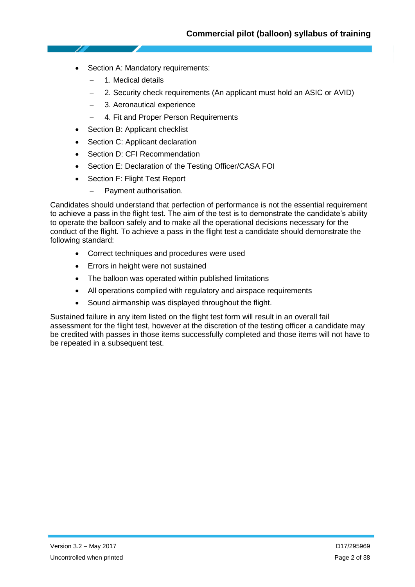- Section A: Mandatory requirements:
	- 1. Medical details
	- 2. Security check requirements (An applicant must hold an ASIC or AVID)
	- 3. Aeronautical experience
	- 4. Fit and Proper Person Requirements
- Section B: Applicant checklist
- Section C: Applicant declaration
- Section D: CFI Recommendation
- Section E: Declaration of the Testing Officer/CASA FOI
- Section F: Flight Test Report
	- Payment authorisation.

Candidates should understand that perfection of performance is not the essential requirement to achieve a pass in the flight test. The aim of the test is to demonstrate the candidate's ability to operate the balloon safely and to make all the operational decisions necessary for the conduct of the flight. To achieve a pass in the flight test a candidate should demonstrate the following standard:

- Correct techniques and procedures were used
- Errors in height were not sustained
- The balloon was operated within published limitations
- All operations complied with regulatory and airspace requirements
- Sound airmanship was displayed throughout the flight.

Sustained failure in any item listed on the flight test form will result in an overall fail assessment for the flight test, however at the discretion of the testing officer a candidate may be credited with passes in those items successfully completed and those items will not have to be repeated in a subsequent test.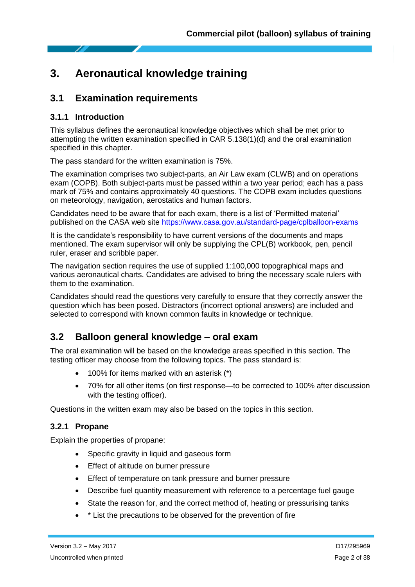# <span id="page-16-0"></span>**3. Aeronautical knowledge training**

# <span id="page-16-1"></span>**3.1 Examination requirements**

## <span id="page-16-2"></span>**3.1.1 Introduction**

This syllabus defines the aeronautical knowledge objectives which shall be met prior to attempting the written examination specified in CAR 5.138(1)(d) and the oral examination specified in this chapter.

The pass standard for the written examination is 75%.

The examination comprises two subject-parts, an Air Law exam (CLWB) and on operations exam (COPB). Both subject-parts must be passed within a two year period; each has a pass mark of 75% and contains approximately 40 questions. The COPB exam includes questions on meteorology, navigation, aerostatics and human factors.

Candidates need to be aware that for each exam, there is a list of 'Permitted material' published on the CASA web site<https://www.casa.gov.au/standard-page/cplballoon-exams>

It is the candidate's responsibility to have current versions of the documents and maps mentioned. The exam supervisor will only be supplying the CPL(B) workbook, pen, pencil ruler, eraser and scribble paper.

The navigation section requires the use of supplied 1:100,000 topographical maps and various aeronautical charts. Candidates are advised to bring the necessary scale rulers with them to the examination.

Candidates should read the questions very carefully to ensure that they correctly answer the question which has been posed. Distractors (incorrect optional answers) are included and selected to correspond with known common faults in knowledge or technique.

# <span id="page-16-3"></span>**3.2 Balloon general knowledge – oral exam**

The oral examination will be based on the knowledge areas specified in this section. The testing officer may choose from the following topics. The pass standard is:

- 100% for items marked with an asterisk (\*)
- 70% for all other items (on first response—to be corrected to 100% after discussion with the testing officer).

Questions in the written exam may also be based on the topics in this section.

### <span id="page-16-4"></span>**3.2.1 Propane**

Explain the properties of propane:

- Specific gravity in liquid and gaseous form
- Effect of altitude on burner pressure
- Effect of temperature on tank pressure and burner pressure
- Describe fuel quantity measurement with reference to a percentage fuel gauge
- State the reason for, and the correct method of, heating or pressurising tanks
- \* List the precautions to be observed for the prevention of fire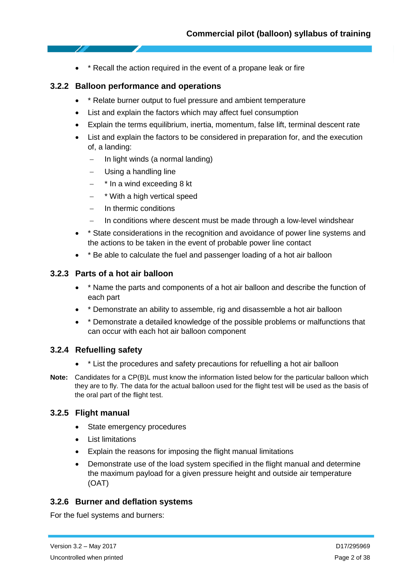• \* Recall the action required in the event of a propane leak or fire

## <span id="page-17-0"></span>**3.2.2 Balloon performance and operations**

- \* Relate burner output to fuel pressure and ambient temperature
- List and explain the factors which may affect fuel consumption
- Explain the terms equilibrium, inertia, momentum, false lift, terminal descent rate
- List and explain the factors to be considered in preparation for, and the execution of, a landing:
	- $-$  In light winds (a normal landing)
	- Using a handling line
	- \* In a wind exceeding 8 kt
	- \* With a high vertical speed
	- In thermic conditions
	- In conditions where descent must be made through a low-level windshear
- \* State considerations in the recognition and avoidance of power line systems and the actions to be taken in the event of probable power line contact
- \* Be able to calculate the fuel and passenger loading of a hot air balloon

## <span id="page-17-1"></span>**3.2.3 Parts of a hot air balloon**

- \* Name the parts and components of a hot air balloon and describe the function of each part
- \* Demonstrate an ability to assemble, rig and disassemble a hot air balloon
- \* Demonstrate a detailed knowledge of the possible problems or malfunctions that can occur with each hot air balloon component

### <span id="page-17-2"></span>**3.2.4 Refuelling safety**

- \* List the procedures and safety precautions for refuelling a hot air balloon
- **Note:** Candidates for a CP(B)L must know the information listed below for the particular balloon which they are to fly. The data for the actual balloon used for the flight test will be used as the basis of the oral part of the flight test.

### <span id="page-17-3"></span>**3.2.5 Flight manual**

- State emergency procedures
- List limitations
- Explain the reasons for imposing the flight manual limitations
- Demonstrate use of the load system specified in the flight manual and determine the maximum payload for a given pressure height and outside air temperature (OAT)

### <span id="page-17-4"></span>**3.2.6 Burner and deflation systems**

For the fuel systems and burners: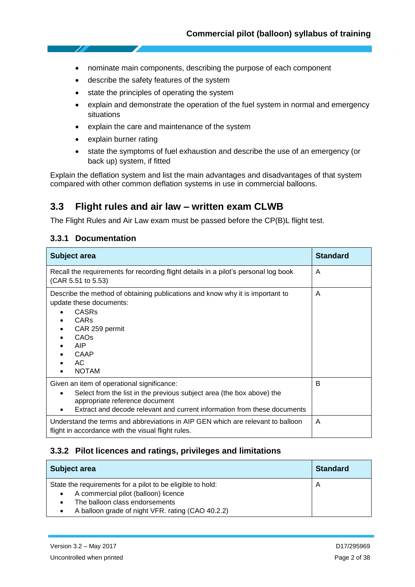- nominate main components, describing the purpose of each component
- describe the safety features of the system
- state the principles of operating the system
- explain and demonstrate the operation of the fuel system in normal and emergency situations
- explain the care and maintenance of the system
- explain burner rating
- state the symptoms of fuel exhaustion and describe the use of an emergency (or back up) system, if fitted

Explain the deflation system and list the main advantages and disadvantages of that system compared with other common deflation systems in use in commercial balloons.

# <span id="page-18-0"></span>**3.3 Flight rules and air law – written exam CLWB**

The Flight Rules and Air Law exam must be passed before the CP(B)L flight test.

### <span id="page-18-1"></span>**3.3.1 Documentation**

| Subject area                                                                                                                                                                                                                                        | <b>Standard</b> |
|-----------------------------------------------------------------------------------------------------------------------------------------------------------------------------------------------------------------------------------------------------|-----------------|
| Recall the requirements for recording flight details in a pilot's personal log book<br>(CAR 5.51 to 5.53)                                                                                                                                           | A               |
| Describe the method of obtaining publications and know why it is important to<br>update these documents:<br>CASRs<br>$\bullet$<br>CARs<br>CAR 259 permit<br>CAO <sub>s</sub><br>AIP.<br>CAAP<br>AC.<br><b>NOTAM</b>                                 | A               |
| Given an item of operational significance:<br>Select from the list in the previous subject area (the box above) the<br>$\bullet$<br>appropriate reference document<br>Extract and decode relevant and current information from these documents<br>٠ | B               |
| Understand the terms and abbreviations in AIP GEN which are relevant to balloon<br>flight in accordance with the visual flight rules.                                                                                                               | A               |

## <span id="page-18-2"></span>**3.3.2 Pilot licences and ratings, privileges and limitations**

| <b>Subject area</b>                                                                                                                                                                       | <b>Standard</b> |
|-------------------------------------------------------------------------------------------------------------------------------------------------------------------------------------------|-----------------|
| State the requirements for a pilot to be eligible to hold:<br>A commercial pilot (balloon) licence<br>The balloon class endorsements<br>A balloon grade of night VFR. rating (CAO 40.2.2) | A               |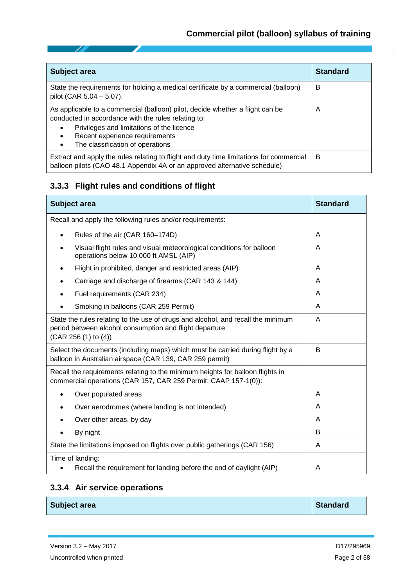| Subject area                                                                                                                                                                                                                                                                                   | <b>Standard</b> |
|------------------------------------------------------------------------------------------------------------------------------------------------------------------------------------------------------------------------------------------------------------------------------------------------|-----------------|
| State the requirements for holding a medical certificate by a commercial (balloon)<br>pilot (CAR 5.04 - 5.07).                                                                                                                                                                                 | в               |
| As applicable to a commercial (balloon) pilot, decide whether a flight can be<br>conducted in accordance with the rules relating to:<br>Privileges and limitations of the licence<br>$\bullet$<br>Recent experience requirements<br>$\bullet$<br>The classification of operations<br>$\bullet$ | A               |
| Extract and apply the rules relating to flight and duty time limitations for commercial<br>balloon pilots (CAO 48.1 Appendix 4A or an approved alternative schedule)                                                                                                                           | B               |

# <span id="page-19-0"></span>**3.3.3 Flight rules and conditions of flight**

| Subject area                                                                                                                                                        | <b>Standard</b> |
|---------------------------------------------------------------------------------------------------------------------------------------------------------------------|-----------------|
| Recall and apply the following rules and/or requirements:                                                                                                           |                 |
| Rules of the air (CAR 160-174D)<br>$\bullet$                                                                                                                        | A               |
| Visual flight rules and visual meteorological conditions for balloon<br>operations below 10 000 ft AMSL (AIP)                                                       | A               |
| Flight in prohibited, danger and restricted areas (AIP)                                                                                                             | A               |
| Carriage and discharge of firearms (CAR 143 & 144)                                                                                                                  | A               |
| Fuel requirements (CAR 234)                                                                                                                                         | A               |
| Smoking in balloons (CAR 259 Permit)                                                                                                                                | A               |
| State the rules relating to the use of drugs and alcohol, and recall the minimum<br>period between alcohol consumption and flight departure<br>(CAR 256 (1) to (4)) | A               |
| Select the documents (including maps) which must be carried during flight by a<br>balloon in Australian airspace (CAR 139, CAR 259 permit)                          | B               |
| Recall the requirements relating to the minimum heights for balloon flights in<br>commercial operations (CAR 157, CAR 259 Permit; CAAP 157-1(0)):                   |                 |
| Over populated areas<br>$\bullet$                                                                                                                                   | A               |
| Over aerodromes (where landing is not intended)                                                                                                                     | A               |
| Over other areas, by day                                                                                                                                            | A               |
| By night                                                                                                                                                            | B               |
| State the limitations imposed on flights over public gatherings (CAR 156)                                                                                           | A               |
| Time of landing:<br>Recall the requirement for landing before the end of daylight (AIP)                                                                             | A               |

# <span id="page-19-1"></span>**3.3.4 Air service operations**

|  |  | Subject area |
|--|--|--------------|
|  |  |              |

**Standard**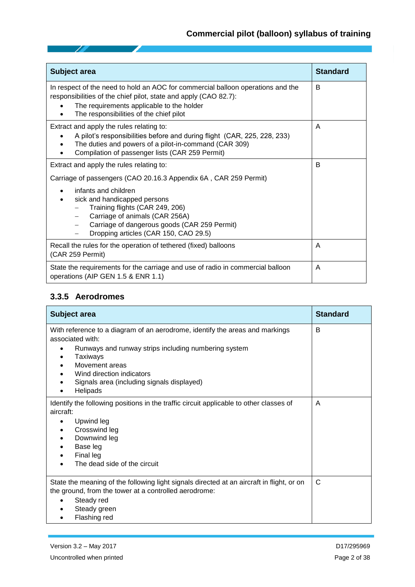| Subject area                                                                                                                                                                                                                                             | <b>Standard</b> |
|----------------------------------------------------------------------------------------------------------------------------------------------------------------------------------------------------------------------------------------------------------|-----------------|
| In respect of the need to hold an AOC for commercial balloon operations and the<br>responsibilities of the chief pilot, state and apply (CAO 82.7):<br>The requirements applicable to the holder<br>$\bullet$<br>The responsibilities of the chief pilot | B               |
| Extract and apply the rules relating to:<br>A pilot's responsibilities before and during flight (CAR, 225, 228, 233)<br>The duties and powers of a pilot-in-command (CAR 309)<br>Compilation of passenger lists (CAR 259 Permit)                         | A               |
| Extract and apply the rules relating to:                                                                                                                                                                                                                 | B               |
| Carriage of passengers (CAO 20.16.3 Appendix 6A, CAR 259 Permit)                                                                                                                                                                                         |                 |
| infants and children<br>$\bullet$<br>sick and handicapped persons<br>Training flights (CAR 249, 206)<br>Carriage of animals (CAR 256A)<br>Carriage of dangerous goods (CAR 259 Permit)<br>Dropping articles (CAR 150, CAO 29.5)                          |                 |
| Recall the rules for the operation of tethered (fixed) balloons<br>(CAR 259 Permit)                                                                                                                                                                      | A               |
| State the requirements for the carriage and use of radio in commercial balloon<br>operations (AIP GEN 1.5 & ENR 1.1)                                                                                                                                     | A               |

# <span id="page-20-0"></span>**3.3.5 Aerodromes**

- Z

| Subject area                                                                                                                                                                                                                                                                               | <b>Standard</b> |
|--------------------------------------------------------------------------------------------------------------------------------------------------------------------------------------------------------------------------------------------------------------------------------------------|-----------------|
| With reference to a diagram of an aerodrome, identify the areas and markings<br>associated with:<br>Runways and runway strips including numbering system<br>$\bullet$<br>Taxiways<br>Movement areas<br>Wind direction indicators<br>Signals area (including signals displayed)<br>Helipads | B               |
| Identify the following positions in the traffic circuit applicable to other classes of<br>aircraft:<br>Upwind leg<br>Crosswind leg<br>Downwind leg<br>Base leg<br>Final leg<br>The dead side of the circuit                                                                                | A               |
| State the meaning of the following light signals directed at an aircraft in flight, or on<br>the ground, from the tower at a controlled aerodrome:<br>Steady red<br>Steady green<br>Flashing red                                                                                           | C               |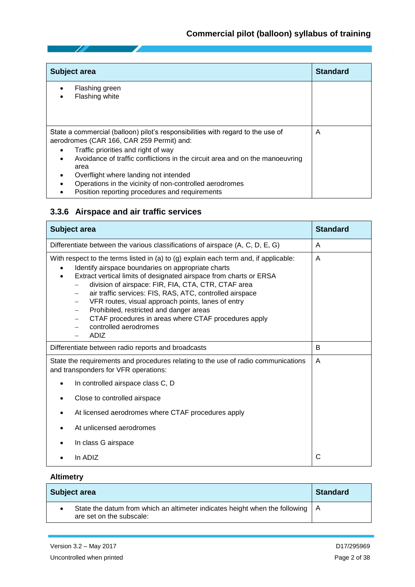| Subject area                                                                                                                                                                                                                                                                                                                                                                                                                   | <b>Standard</b> |
|--------------------------------------------------------------------------------------------------------------------------------------------------------------------------------------------------------------------------------------------------------------------------------------------------------------------------------------------------------------------------------------------------------------------------------|-----------------|
| Flashing green<br>Flashing white                                                                                                                                                                                                                                                                                                                                                                                               |                 |
| State a commercial (balloon) pilot's responsibilities with regard to the use of<br>aerodromes (CAR 166, CAR 259 Permit) and:<br>Traffic priorities and right of way<br>$\bullet$<br>Avoidance of traffic conflictions in the circuit area and on the manoeuvring<br>area<br>Overflight where landing not intended<br>Operations in the vicinity of non-controlled aerodromes<br>Position reporting procedures and requirements | A               |

# <span id="page-21-0"></span>**3.3.6 Airspace and air traffic services**

| Subject area                                                                                                                                                                                                                                                                                                                                                                                                                                                                                                                                                                                       | <b>Standard</b> |
|----------------------------------------------------------------------------------------------------------------------------------------------------------------------------------------------------------------------------------------------------------------------------------------------------------------------------------------------------------------------------------------------------------------------------------------------------------------------------------------------------------------------------------------------------------------------------------------------------|-----------------|
| Differentiate between the various classifications of airspace (A, C, D, E, G)                                                                                                                                                                                                                                                                                                                                                                                                                                                                                                                      | A               |
| With respect to the terms listed in (a) to (g) explain each term and, if applicable:<br>Identify airspace boundaries on appropriate charts<br>$\bullet$<br>Extract vertical limits of designated airspace from charts or ERSA<br>division of airspace: FIR, FIA, CTA, CTR, CTAF area<br>air traffic services: FIS, RAS, ATC, controlled airspace<br>VFR routes, visual approach points, lanes of entry<br>Prohibited, restricted and danger areas<br>$\overline{\phantom{0}}$<br>CTAF procedures in areas where CTAF procedures apply<br>$\overline{\phantom{0}}$<br>controlled aerodromes<br>ADIZ | A               |
| Differentiate between radio reports and broadcasts                                                                                                                                                                                                                                                                                                                                                                                                                                                                                                                                                 | B               |
| State the requirements and procedures relating to the use of radio communications<br>and transponders for VFR operations:                                                                                                                                                                                                                                                                                                                                                                                                                                                                          | A               |
| In controlled airspace class C, D                                                                                                                                                                                                                                                                                                                                                                                                                                                                                                                                                                  |                 |
| Close to controlled airspace                                                                                                                                                                                                                                                                                                                                                                                                                                                                                                                                                                       |                 |
| At licensed aerodromes where CTAF procedures apply                                                                                                                                                                                                                                                                                                                                                                                                                                                                                                                                                 |                 |
| At unlicensed aerodromes                                                                                                                                                                                                                                                                                                                                                                                                                                                                                                                                                                           |                 |
| In class G airspace                                                                                                                                                                                                                                                                                                                                                                                                                                                                                                                                                                                |                 |
| In ADIZ                                                                                                                                                                                                                                                                                                                                                                                                                                                                                                                                                                                            | С               |

## **Altimetry**

| <b>Subject area</b>                                                                                         | <b>Standard</b> |
|-------------------------------------------------------------------------------------------------------------|-----------------|
| State the datum from which an altimeter indicates height when the following   A<br>are set on the subscale: |                 |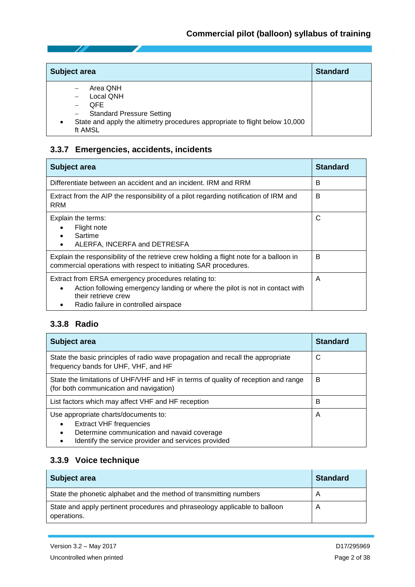| Subject area                                                                                        | <b>Standard</b> |
|-----------------------------------------------------------------------------------------------------|-----------------|
| Area QNH<br>Local QNH<br>OFE.<br><b>Standard Pressure Setting</b>                                   |                 |
| State and apply the altimetry procedures appropriate to flight below 10,000<br>$\bullet$<br>ft AMSL |                 |

## <span id="page-22-0"></span>**3.3.7 Emergencies, accidents, incidents**

| Subject area                                                                                                                                                                                                                 | <b>Standard</b> |
|------------------------------------------------------------------------------------------------------------------------------------------------------------------------------------------------------------------------------|-----------------|
| Differentiate between an accident and an incident. IRM and RRM                                                                                                                                                               | в               |
| Extract from the AIP the responsibility of a pilot regarding notification of IRM and<br><b>RRM</b>                                                                                                                           | B               |
| Explain the terms:<br>Flight note<br>$\bullet$<br>Sartime<br>$\bullet$<br>ALERFA, INCERFA and DETRESFA<br>$\bullet$                                                                                                          | С               |
| Explain the responsibility of the retrieve crew holding a flight note for a balloon in<br>commercial operations with respect to initiating SAR procedures.                                                                   | B               |
| Extract from ERSA emergency procedures relating to:<br>Action following emergency landing or where the pilot is not in contact with<br>$\bullet$<br>their retrieve crew<br>Radio failure in controlled airspace<br>$\bullet$ | A               |

## <span id="page-22-1"></span>**3.3.8 Radio**

Z

| Subject area                                                                                                                                                                                           | <b>Standard</b> |
|--------------------------------------------------------------------------------------------------------------------------------------------------------------------------------------------------------|-----------------|
| State the basic principles of radio wave propagation and recall the appropriate<br>frequency bands for UHF, VHF, and HF                                                                                | С               |
| State the limitations of UHF/VHF and HF in terms of quality of reception and range<br>(for both communication and navigation)                                                                          | в               |
| List factors which may affect VHF and HF reception                                                                                                                                                     | B               |
| Use appropriate charts/documents to:<br><b>Extract VHF frequencies</b><br>$\bullet$<br>Determine communication and navaid coverage<br>$\bullet$<br>Identify the service provider and services provided | A               |

# <span id="page-22-2"></span>**3.3.9 Voice technique**

| Subject area                                                                              | <b>Standard</b> |
|-------------------------------------------------------------------------------------------|-----------------|
| State the phonetic alphabet and the method of transmitting numbers                        | A               |
| State and apply pertinent procedures and phraseology applicable to balloon<br>operations. | A               |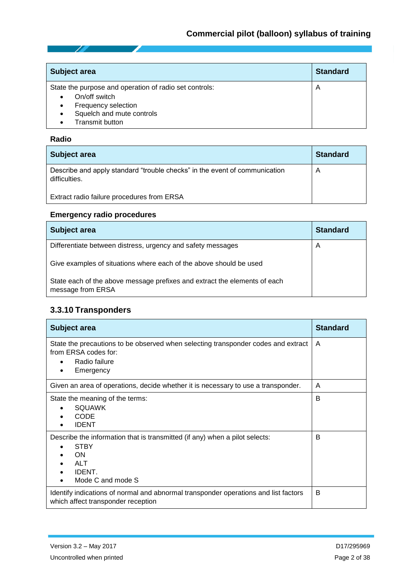| <b>Subject area</b>                                    | <b>Standard</b> |
|--------------------------------------------------------|-----------------|
| State the purpose and operation of radio set controls: | A               |
| On/off switch<br>$\bullet$                             |                 |
| Frequency selection<br>$\bullet$                       |                 |
| Squelch and mute controls<br>$\bullet$                 |                 |
| Transmit button                                        |                 |

### **Radio**

| Subject area                                                                                | <b>Standard</b> |
|---------------------------------------------------------------------------------------------|-----------------|
| Describe and apply standard "trouble checks" in the event of communication<br>difficulties. |                 |
| Extract radio failure procedures from ERSA                                                  |                 |

## **Emergency radio procedures**

| Subject area                                                                                   | <b>Standard</b> |
|------------------------------------------------------------------------------------------------|-----------------|
| Differentiate between distress, urgency and safety messages                                    | A               |
| Give examples of situations where each of the above should be used                             |                 |
| State each of the above message prefixes and extract the elements of each<br>message from ERSA |                 |

# <span id="page-23-0"></span>**3.3.10 Transponders**

| Subject area                                                                                                                                         | <b>Standard</b> |
|------------------------------------------------------------------------------------------------------------------------------------------------------|-----------------|
| State the precautions to be observed when selecting transponder codes and extract<br>from ERSA codes for:<br>Radio failure<br>Emergency<br>٠         | A               |
| Given an area of operations, decide whether it is necessary to use a transponder.                                                                    | A               |
| State the meaning of the terms:<br><b>SQUAWK</b><br><b>CODE</b><br><b>IDENT</b>                                                                      | B               |
| Describe the information that is transmitted (if any) when a pilot selects:<br><b>STBY</b><br><b>ON</b><br><b>ALT</b><br>IDENT.<br>Mode C and mode S | B               |
| Identify indications of normal and abnormal transponder operations and list factors<br>which affect transponder reception                            | B               |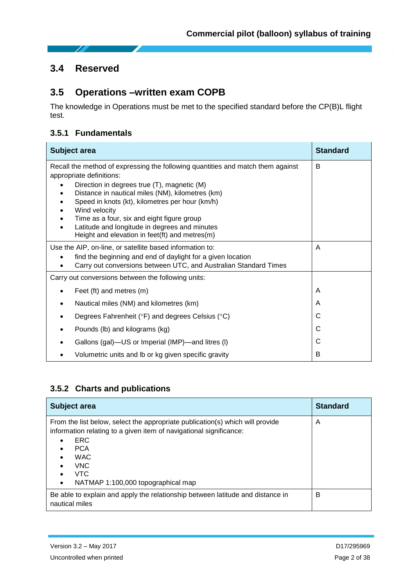# <span id="page-24-0"></span>**3.4 Reserved**

# <span id="page-24-1"></span>**3.5 Operations –written exam COPB**

The knowledge in Operations must be met to the specified standard before the CP(B)L flight test.

## <span id="page-24-2"></span>**3.5.1 Fundamentals**

| <b>Subject area</b>                                                                                                                                                                                                                                                                                                                                                                                                                 | <b>Standard</b> |
|-------------------------------------------------------------------------------------------------------------------------------------------------------------------------------------------------------------------------------------------------------------------------------------------------------------------------------------------------------------------------------------------------------------------------------------|-----------------|
| Recall the method of expressing the following quantities and match them against<br>appropriate definitions:<br>Direction in degrees true (T), magnetic (M)<br>Distance in nautical miles (NM), kilometres (km)<br>Speed in knots (kt), kilometres per hour (km/h)<br>Wind velocity<br>Time as a four, six and eight figure group<br>Latitude and longitude in degrees and minutes<br>Height and elevation in feet(ft) and metres(m) | B               |
| Use the AIP, on-line, or satellite based information to:<br>find the beginning and end of daylight for a given location<br>$\bullet$<br>Carry out conversions between UTC, and Australian Standard Times                                                                                                                                                                                                                            | A               |
| Carry out conversions between the following units:                                                                                                                                                                                                                                                                                                                                                                                  |                 |
| Feet (ft) and metres (m)<br>$\bullet$                                                                                                                                                                                                                                                                                                                                                                                               | A               |
| Nautical miles (NM) and kilometres (km)<br>٠                                                                                                                                                                                                                                                                                                                                                                                        | A               |
| Degrees Fahrenheit (°F) and degrees Celsius (°C)                                                                                                                                                                                                                                                                                                                                                                                    | C               |
| Pounds (lb) and kilograms (kg)                                                                                                                                                                                                                                                                                                                                                                                                      | C               |
| Gallons (gal)-US or Imperial (IMP)-and litres (I)                                                                                                                                                                                                                                                                                                                                                                                   | C               |
| Volumetric units and Ib or kg given specific gravity                                                                                                                                                                                                                                                                                                                                                                                | B               |

## <span id="page-24-3"></span>**3.5.2 Charts and publications**

| Subject area                                                                                                                                                                                                                                                                                                                     | <b>Standard</b> |
|----------------------------------------------------------------------------------------------------------------------------------------------------------------------------------------------------------------------------------------------------------------------------------------------------------------------------------|-----------------|
| From the list below, select the appropriate publication(s) which will provide<br>information relating to a given item of navigational significance:<br>ERC<br>$\bullet$<br><b>PCA</b><br>$\bullet$<br><b>WAC</b><br>$\bullet$<br><b>VNC</b><br>$\bullet$<br>VTC.<br>$\bullet$<br>NATMAP 1:100,000 topographical map<br>$\bullet$ | A               |
| Be able to explain and apply the relationship between latitude and distance in<br>nautical miles                                                                                                                                                                                                                                 | В               |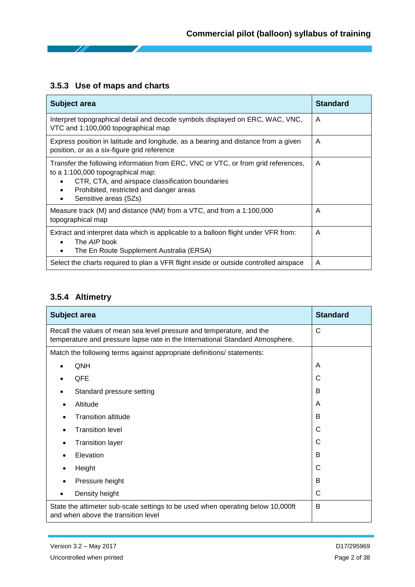# <span id="page-25-0"></span>**3.5.3 Use of maps and charts**

D

| Subject area                                                                                                                                                                                                                                                                  | <b>Standard</b> |
|-------------------------------------------------------------------------------------------------------------------------------------------------------------------------------------------------------------------------------------------------------------------------------|-----------------|
| Interpret topographical detail and decode symbols displayed on ERC, WAC, VNC,<br>VTC and 1:100,000 topographical map                                                                                                                                                          | A               |
| Express position in latitude and longitude, as a bearing and distance from a given<br>position, or as a six-figure grid reference                                                                                                                                             | A               |
| Transfer the following information from ERC, VNC or VTC, or from grid references,<br>to a 1:100,000 topographical map:<br>CTR, CTA, and airspace classification boundaries<br>$\bullet$<br>Prohibited, restricted and danger areas<br>$\bullet$<br>Sensitive areas (SZs)<br>٠ | A               |
| Measure track (M) and distance (NM) from a VTC, and from a 1:100,000<br>topographical map                                                                                                                                                                                     | A               |
| Extract and interpret data which is applicable to a balloon flight under VFR from:<br>The AIP book<br>$\bullet$<br>The En Route Supplement Australia (ERSA)<br>٠                                                                                                              | A               |
| Select the charts required to plan a VFR flight inside or outside controlled airspace                                                                                                                                                                                         | A               |

# <span id="page-25-1"></span>**3.5.4 Altimetry**

| Subject area                                                                                                                                           | <b>Standard</b> |
|--------------------------------------------------------------------------------------------------------------------------------------------------------|-----------------|
| Recall the values of mean sea level pressure and temperature, and the<br>temperature and pressure lapse rate in the International Standard Atmosphere. | C               |
| Match the following terms against appropriate definitions/ statements:                                                                                 |                 |
| QNH<br>$\bullet$                                                                                                                                       | A               |
| QFE                                                                                                                                                    | C               |
| Standard pressure setting                                                                                                                              | B               |
| Altitude                                                                                                                                               | A               |
| <b>Transition altitude</b>                                                                                                                             | B               |
| <b>Transition level</b>                                                                                                                                | C               |
| <b>Transition layer</b>                                                                                                                                | C               |
| Elevation                                                                                                                                              | B               |
| Height                                                                                                                                                 | С               |
| Pressure height                                                                                                                                        | B               |
| Density height                                                                                                                                         | C               |
| State the altimeter sub-scale settings to be used when operating below 10,000ft<br>and when above the transition level                                 | B               |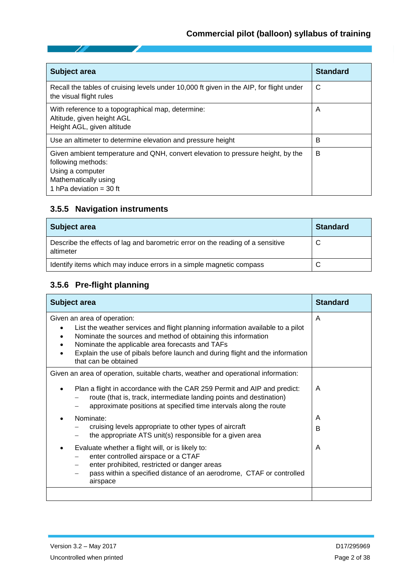# **Commercial pilot (balloon) syllabus of training**

| Subject area                                                                                                                                                                 | <b>Standard</b> |
|------------------------------------------------------------------------------------------------------------------------------------------------------------------------------|-----------------|
| Recall the tables of cruising levels under 10,000 ft given in the AIP, for flight under<br>the visual flight rules                                                           | C               |
| With reference to a topographical map, determine:<br>Altitude, given height AGL<br>Height AGL, given altitude                                                                | A               |
| Use an altimeter to determine elevation and pressure height                                                                                                                  | в               |
| Given ambient temperature and QNH, convert elevation to pressure height, by the<br>following methods:<br>Using a computer<br>Mathematically using<br>1 hPa deviation = 30 ft | B               |

## <span id="page-26-0"></span>**3.5.5 Navigation instruments**

Z

| <b>Subject area</b>                                                                         | <b>Standard</b> |
|---------------------------------------------------------------------------------------------|-----------------|
| Describe the effects of lag and barometric error on the reading of a sensitive<br>altimeter | C               |
| Identify items which may induce errors in a simple magnetic compass                         | C               |

# <span id="page-26-1"></span>**3.5.6 Pre-flight planning**

| Subject area                                                                                                                                                                                                                                                                                                                                    | <b>Standard</b> |
|-------------------------------------------------------------------------------------------------------------------------------------------------------------------------------------------------------------------------------------------------------------------------------------------------------------------------------------------------|-----------------|
| Given an area of operation:<br>List the weather services and flight planning information available to a pilot<br>Nominate the sources and method of obtaining this information<br>Nominate the applicable area forecasts and TAFs<br>٠<br>Explain the use of pibals before launch and during flight and the information<br>that can be obtained | A               |
| Given an area of operation, suitable charts, weather and operational information:<br>Plan a flight in accordance with the CAR 259 Permit and AIP and predict:<br>route (that is, track, intermediate landing points and destination)<br>approximate positions at specified time intervals along the route                                       | A               |
| Nominate:<br>cruising levels appropriate to other types of aircraft<br>the appropriate ATS unit(s) responsible for a given area                                                                                                                                                                                                                 | A<br>B          |
| Evaluate whether a flight will, or is likely to:<br>enter controlled airspace or a CTAF<br>enter prohibited, restricted or danger areas<br>pass within a specified distance of an aerodrome, CTAF or controlled<br>airspace                                                                                                                     | A               |
|                                                                                                                                                                                                                                                                                                                                                 |                 |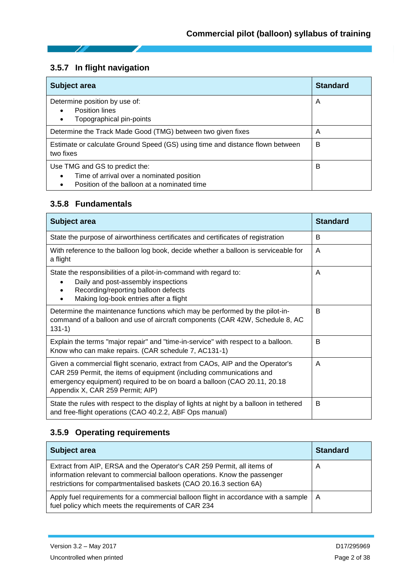# <span id="page-27-0"></span>**3.5.7 In flight navigation**

- Zi

| Subject area                                                                                                                                         | <b>Standard</b> |
|------------------------------------------------------------------------------------------------------------------------------------------------------|-----------------|
| Determine position by use of:<br><b>Position lines</b><br>$\bullet$<br>Topographical pin-points<br>$\bullet$                                         | A               |
| Determine the Track Made Good (TMG) between two given fixes                                                                                          | A               |
| Estimate or calculate Ground Speed (GS) using time and distance flown between<br>two fixes                                                           | в               |
| Use TMG and GS to predict the:<br>Time of arrival over a nominated position<br>$\bullet$<br>Position of the balloon at a nominated time<br>$\bullet$ | в               |

# <span id="page-27-1"></span>**3.5.8 Fundamentals**

| Subject area                                                                                                                                                                                                                                                          | <b>Standard</b> |
|-----------------------------------------------------------------------------------------------------------------------------------------------------------------------------------------------------------------------------------------------------------------------|-----------------|
| State the purpose of airworthiness certificates and certificates of registration                                                                                                                                                                                      | B               |
| With reference to the balloon log book, decide whether a balloon is serviceable for<br>a flight                                                                                                                                                                       | A               |
| State the responsibilities of a pilot-in-command with regard to:<br>Daily and post-assembly inspections<br>$\bullet$<br>Recording/reporting balloon defects<br>Making log-book entries after a flight                                                                 | A               |
| Determine the maintenance functions which may be performed by the pilot-in-<br>command of a balloon and use of aircraft components (CAR 42W, Schedule 8, AC<br>$131-1)$                                                                                               | B               |
| Explain the terms "major repair" and "time-in-service" with respect to a balloon.<br>Know who can make repairs. (CAR schedule 7, AC131-1)                                                                                                                             | B               |
| Given a commercial flight scenario, extract from CAOs, AIP and the Operator's<br>CAR 259 Permit, the items of equipment (including communications and<br>emergency equipment) required to be on board a balloon (CAO 20.11, 20.18<br>Appendix X, CAR 259 Permit; AIP) | A               |
| State the rules with respect to the display of lights at night by a balloon in tethered<br>and free-flight operations (CAO 40.2.2, ABF Ops manual)                                                                                                                    | B               |

# <span id="page-27-2"></span>**3.5.9 Operating requirements**

| Subject area                                                                                                                                                                                                               | <b>Standard</b> |
|----------------------------------------------------------------------------------------------------------------------------------------------------------------------------------------------------------------------------|-----------------|
| Extract from AIP, ERSA and the Operator's CAR 259 Permit, all items of<br>information relevant to commercial balloon operations. Know the passenger<br>restrictions for compartmentalised baskets (CAO 20.16.3 section 6A) | A               |
| Apply fuel requirements for a commercial balloon flight in accordance with a sample $\vert$ A<br>fuel policy which meets the requirements of CAR 234                                                                       |                 |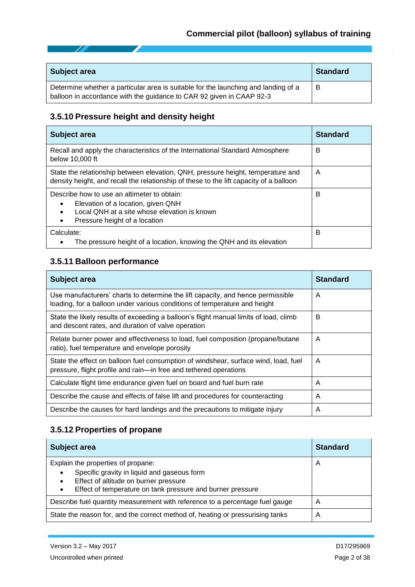| <b>Subject area</b>                                                                                                                                        | <b>Standard</b> |
|------------------------------------------------------------------------------------------------------------------------------------------------------------|-----------------|
| Determine whether a particular area is suitable for the launching and landing of a<br>balloon in accordance with the guidance to CAR 92 given in CAAP 92-3 | B               |

## <span id="page-28-0"></span>**3.5.10 Pressure height and density height**

| Subject area                                                                                                                                                                                              | <b>Standard</b> |
|-----------------------------------------------------------------------------------------------------------------------------------------------------------------------------------------------------------|-----------------|
| Recall and apply the characteristics of the International Standard Atmosphere<br>below 10,000 ft                                                                                                          | В               |
| State the relationship between elevation, QNH, pressure height, temperature and<br>density height, and recall the relationship of these to the lift capacity of a balloon                                 | A               |
| Describe how to use an altimeter to obtain:<br>Elevation of a location, given QNH<br>$\bullet$<br>Local ONH at a site whose elevation is known<br>$\bullet$<br>Pressure height of a location<br>$\bullet$ | В               |
| Calculate:<br>The pressure height of a location, knowing the QNH and its elevation                                                                                                                        | В               |

# <span id="page-28-1"></span>**3.5.11 Balloon performance**

| Subject area                                                                                                                                                 | <b>Standard</b> |
|--------------------------------------------------------------------------------------------------------------------------------------------------------------|-----------------|
| Use manufacturers' charts to determine the lift capacity, and hence permissible<br>loading, for a balloon under various conditions of temperature and height | A               |
| State the likely results of exceeding a balloon's flight manual limits of load, climb<br>and descent rates, and duration of valve operation                  | B               |
| Relate burner power and effectiveness to load, fuel composition (propane/butane<br>ratio), fuel temperature and envelope porosity                            | A               |
| State the effect on balloon fuel consumption of windshear, surface wind, load, fuel<br>pressure, flight profile and rain-in free and tethered operations     | A               |
| Calculate flight time endurance given fuel on board and fuel burn rate                                                                                       | A               |
| Describe the cause and effects of false lift and procedures for counteracting                                                                                | A               |
| Describe the causes for hard landings and the precautions to mitigate injury                                                                                 | A               |

# <span id="page-28-2"></span>**3.5.12 Properties of propane**

| Subject area                                                                   | <b>Standard</b> |
|--------------------------------------------------------------------------------|-----------------|
| Explain the properties of propane:                                             | $\overline{A}$  |
| Specific gravity in liquid and gaseous form                                    |                 |
| Effect of altitude on burner pressure<br>$\bullet$                             |                 |
| Effect of temperature on tank pressure and burner pressure<br>$\bullet$        |                 |
| Describe fuel quantity measurement with reference to a percentage fuel gauge   | A               |
| State the reason for, and the correct method of, heating or pressurising tanks | A               |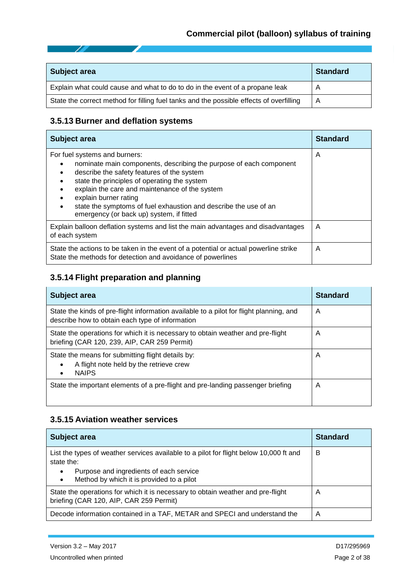| <b>Subject area</b>                                                                     | <b>Standard</b> |
|-----------------------------------------------------------------------------------------|-----------------|
| Explain what could cause and what to do to do in the event of a propane leak            | A               |
| State the correct method for filling fuel tanks and the possible effects of overfilling | A               |

# <span id="page-29-0"></span>**3.5.13 Burner and deflation systems**

| Subject area                                                                                                                                                                                                                                                                                                                                                                                                                                                               | <b>Standard</b> |
|----------------------------------------------------------------------------------------------------------------------------------------------------------------------------------------------------------------------------------------------------------------------------------------------------------------------------------------------------------------------------------------------------------------------------------------------------------------------------|-----------------|
| For fuel systems and burners:<br>nominate main components, describing the purpose of each component<br>$\bullet$<br>describe the safety features of the system<br>$\bullet$<br>state the principles of operating the system<br>$\bullet$<br>explain the care and maintenance of the system<br>$\bullet$<br>explain burner rating<br>$\bullet$<br>state the symptoms of fuel exhaustion and describe the use of an<br>$\bullet$<br>emergency (or back up) system, if fitted | A               |
| Explain balloon deflation systems and list the main advantages and disadvantages<br>of each system                                                                                                                                                                                                                                                                                                                                                                         | A               |
| State the actions to be taken in the event of a potential or actual powerline strike<br>State the methods for detection and avoidance of powerlines                                                                                                                                                                                                                                                                                                                        | A               |

# <span id="page-29-1"></span>**3.5.14 Flight preparation and planning**

| Subject area                                                                                                                               | <b>Standard</b> |
|--------------------------------------------------------------------------------------------------------------------------------------------|-----------------|
| State the kinds of pre-flight information available to a pilot for flight planning, and<br>describe how to obtain each type of information | A               |
| State the operations for which it is necessary to obtain weather and pre-flight<br>briefing (CAR 120, 239, AIP, CAR 259 Permit)            | A               |
| State the means for submitting flight details by:<br>A flight note held by the retrieve crew<br>$\bullet$<br><b>NAIPS</b><br>$\bullet$     | A               |
| State the important elements of a pre-flight and pre-landing passenger briefing                                                            | A               |

## <span id="page-29-2"></span>**3.5.15 Aviation weather services**

| Subject area                                                                                                                                                                                                           | <b>Standard</b> |
|------------------------------------------------------------------------------------------------------------------------------------------------------------------------------------------------------------------------|-----------------|
| List the types of weather services available to a pilot for flight below 10,000 ft and<br>state the:<br>Purpose and ingredients of each service<br>$\bullet$<br>Method by which it is provided to a pilot<br>$\bullet$ | В               |
| State the operations for which it is necessary to obtain weather and pre-flight<br>briefing (CAR 120, AIP, CAR 259 Permit)                                                                                             | A               |
| Decode information contained in a TAF, METAR and SPECI and understand the                                                                                                                                              | A               |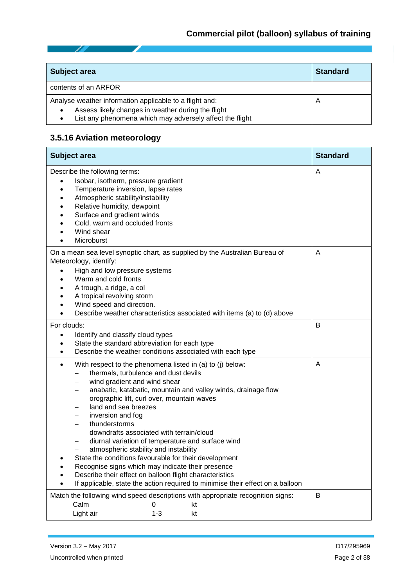# **Commercial pilot (balloon) syllabus of training**

| <b>Subject area</b>                                                                                                                                                                                 | <b>Standard</b> |
|-----------------------------------------------------------------------------------------------------------------------------------------------------------------------------------------------------|-----------------|
| contents of an ARFOR                                                                                                                                                                                |                 |
| Analyse weather information applicable to a flight and:<br>Assess likely changes in weather during the flight<br>$\bullet$<br>List any phenomena which may adversely affect the flight<br>$\bullet$ | A               |

# <span id="page-30-0"></span>**3.5.16 Aviation meteorology**

Z

| Subject area                                                                                                                                                                                                                                                                                                                                                                                                                                                                                                                                                                                                                                                                                                                                                                                                                                                                                                     | <b>Standard</b> |
|------------------------------------------------------------------------------------------------------------------------------------------------------------------------------------------------------------------------------------------------------------------------------------------------------------------------------------------------------------------------------------------------------------------------------------------------------------------------------------------------------------------------------------------------------------------------------------------------------------------------------------------------------------------------------------------------------------------------------------------------------------------------------------------------------------------------------------------------------------------------------------------------------------------|-----------------|
| Describe the following terms:<br>Isobar, isotherm, pressure gradient<br>Temperature inversion, lapse rates<br>$\bullet$<br>Atmospheric stability/instability<br>Relative humidity, dewpoint<br>Surface and gradient winds<br>Cold, warm and occluded fronts<br>Wind shear<br>Microburst                                                                                                                                                                                                                                                                                                                                                                                                                                                                                                                                                                                                                          | Α               |
| On a mean sea level synoptic chart, as supplied by the Australian Bureau of<br>Meteorology, identify:<br>High and low pressure systems<br>Warm and cold fronts<br>A trough, a ridge, a col<br>A tropical revolving storm<br>Wind speed and direction.<br>Describe weather characteristics associated with items (a) to (d) above                                                                                                                                                                                                                                                                                                                                                                                                                                                                                                                                                                                 | A               |
| For clouds:<br>Identify and classify cloud types<br>State the standard abbreviation for each type<br>Describe the weather conditions associated with each type                                                                                                                                                                                                                                                                                                                                                                                                                                                                                                                                                                                                                                                                                                                                                   | В               |
| With respect to the phenomena listed in (a) to (j) below:<br>$\bullet$<br>thermals, turbulence and dust devils<br>$\equiv$<br>wind gradient and wind shear<br>—<br>anabatic, katabatic, mountain and valley winds, drainage flow<br>—<br>orographic lift, curl over, mountain waves<br>$\qquad \qquad -$<br>land and sea breezes<br>$\overline{\phantom{m}}$<br>inversion and fog<br>$\qquad \qquad -$<br>thunderstorms<br>$\qquad \qquad -$<br>downdrafts associated with terrain/cloud<br>$\qquad \qquad -$<br>diurnal variation of temperature and surface wind<br>$\qquad \qquad -$<br>atmospheric stability and instability<br>$\qquad \qquad -$<br>State the conditions favourable for their development<br>Recognise signs which may indicate their presence<br>Describe their effect on balloon flight characteristics<br>If applicable, state the action required to minimise their effect on a balloon | A               |
| Match the following wind speed descriptions with appropriate recognition signs:<br>Calm<br>kt<br>0<br>Light air<br>$1 - 3$<br>kt                                                                                                                                                                                                                                                                                                                                                                                                                                                                                                                                                                                                                                                                                                                                                                                 | B               |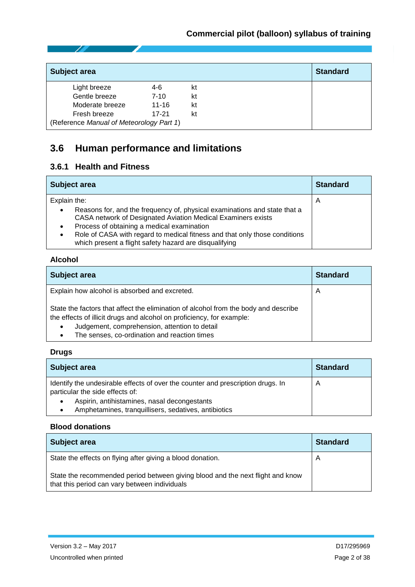# **Commercial pilot (balloon) syllabus of training**

| Subject area                             |           |    | <b>Standard</b> |
|------------------------------------------|-----------|----|-----------------|
| Light breeze                             | 4-6       | kt |                 |
| Gentle breeze                            | $7 - 10$  | kt |                 |
| Moderate breeze                          | $11 - 16$ | kt |                 |
| Fresh breeze                             | 17-21     | kt |                 |
| (Reference Manual of Meteorology Part 1) |           |    |                 |

# <span id="page-31-0"></span>**3.6 Human performance and limitations**

## <span id="page-31-1"></span>**3.6.1 Health and Fitness**

| Subject area                                                                                                                                                                                                                                                                                                                                                           | <b>Standard</b> |
|------------------------------------------------------------------------------------------------------------------------------------------------------------------------------------------------------------------------------------------------------------------------------------------------------------------------------------------------------------------------|-----------------|
| Explain the:<br>Reasons for, and the frequency of, physical examinations and state that a<br>٠<br>CASA network of Designated Aviation Medical Examiners exists<br>Process of obtaining a medical examination<br>٠<br>Role of CASA with regard to medical fitness and that only those conditions<br>$\bullet$<br>which present a flight safety hazard are disqualifying | $\overline{A}$  |

### **Alcohol**

| <b>Subject area</b>                                                                                                                                                                                                                                                                     | <b>Standard</b> |
|-----------------------------------------------------------------------------------------------------------------------------------------------------------------------------------------------------------------------------------------------------------------------------------------|-----------------|
| Explain how alcohol is absorbed and excreted.                                                                                                                                                                                                                                           | A               |
| State the factors that affect the elimination of alcohol from the body and describe<br>the effects of illicit drugs and alcohol on proficiency, for example:<br>Judgement, comprehension, attention to detail<br>$\bullet$<br>The senses, co-ordination and reaction times<br>$\bullet$ |                 |

## **Drugs**

| <b>Subject area</b>                                                                                                | <b>Standard</b> |
|--------------------------------------------------------------------------------------------------------------------|-----------------|
| Identify the undesirable effects of over the counter and prescription drugs. In<br>particular the side effects of: | A               |
| Aspirin, antihistamines, nasal decongestants<br>Amphetamines, tranquillisers, sedatives, antibiotics               |                 |

#### **Blood donations**

| <b>Subject area</b>                                                                                                             | <b>Standard</b> |
|---------------------------------------------------------------------------------------------------------------------------------|-----------------|
| State the effects on flying after giving a blood donation.                                                                      | A               |
| State the recommended period between giving blood and the next flight and know<br>that this period can vary between individuals |                 |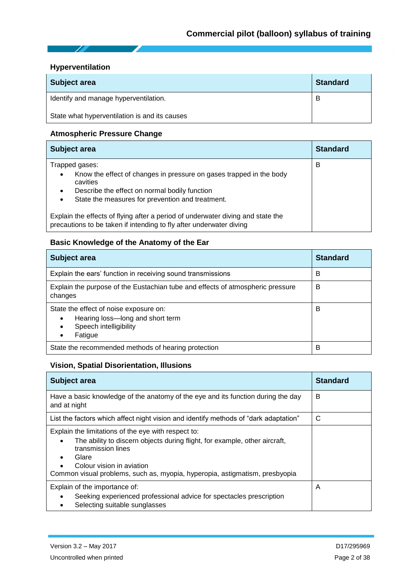## **Hyperventilation**

Z

| <b>Subject area</b>                           | <b>Standard</b> |
|-----------------------------------------------|-----------------|
| Identify and manage hyperventilation.         | B               |
| State what hyperventilation is and its causes |                 |

## **Atmospheric Pressure Change**

| Subject area                                                                                                                                           | <b>Standard</b> |
|--------------------------------------------------------------------------------------------------------------------------------------------------------|-----------------|
| Trapped gases:                                                                                                                                         | в               |
| Know the effect of changes in pressure on gases trapped in the body<br>$\bullet$<br>cavities                                                           |                 |
| Describe the effect on normal bodily function<br>$\bullet$                                                                                             |                 |
| State the measures for prevention and treatment.<br>$\bullet$                                                                                          |                 |
| Explain the effects of flying after a period of underwater diving and state the<br>precautions to be taken if intending to fly after underwater diving |                 |

## **Basic Knowledge of the Anatomy of the Ear**

| Subject area                                                                                                                                           | <b>Standard</b> |
|--------------------------------------------------------------------------------------------------------------------------------------------------------|-----------------|
| Explain the ears' function in receiving sound transmissions                                                                                            | в               |
| Explain the purpose of the Eustachian tube and effects of atmospheric pressure<br>changes                                                              | в               |
| State the effect of noise exposure on:<br>Hearing loss-long and short term<br>$\bullet$<br>Speech intelligibility<br>$\bullet$<br>Fatigue<br>$\bullet$ | в               |
| State the recommended methods of hearing protection                                                                                                    | в               |

## **Vision, Spatial Disorientation, Illusions**

| Subject area                                                                                                                                                                                                                                                                              | <b>Standard</b> |
|-------------------------------------------------------------------------------------------------------------------------------------------------------------------------------------------------------------------------------------------------------------------------------------------|-----------------|
| Have a basic knowledge of the anatomy of the eye and its function during the day<br>and at night                                                                                                                                                                                          | в               |
| List the factors which affect night vision and identify methods of "dark adaptation"                                                                                                                                                                                                      | C               |
| Explain the limitations of the eye with respect to:<br>The ability to discern objects during flight, for example, other aircraft,<br>transmission lines<br>Glare<br>$\bullet$<br>Colour vision in aviation<br>Common visual problems, such as, myopia, hyperopia, astigmatism, presbyopia |                 |
| Explain of the importance of:<br>Seeking experienced professional advice for spectacles prescription<br>٠<br>Selecting suitable sunglasses                                                                                                                                                | A               |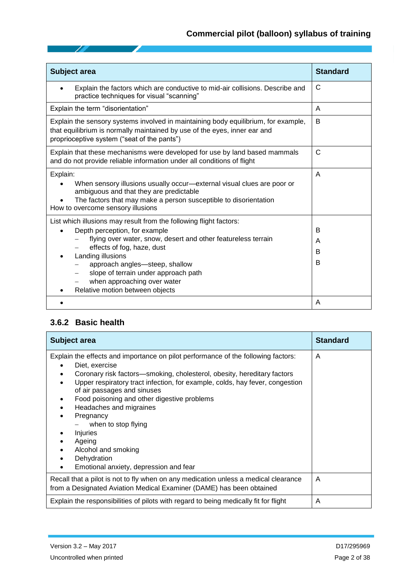# **Commercial pilot (balloon) syllabus of training**

| Subject area                                                                                                                                                                                                                                                                                                                                                                     | <b>Standard</b>  |
|----------------------------------------------------------------------------------------------------------------------------------------------------------------------------------------------------------------------------------------------------------------------------------------------------------------------------------------------------------------------------------|------------------|
| Explain the factors which are conductive to mid-air collisions. Describe and<br>$\bullet$<br>practice techniques for visual "scanning"                                                                                                                                                                                                                                           | С                |
| Explain the term "disorientation"                                                                                                                                                                                                                                                                                                                                                | A                |
| Explain the sensory systems involved in maintaining body equilibrium, for example,<br>that equilibrium is normally maintained by use of the eyes, inner ear and<br>proprioceptive system ("seat of the pants")                                                                                                                                                                   | B                |
| Explain that these mechanisms were developed for use by land based mammals<br>and do not provide reliable information under all conditions of flight                                                                                                                                                                                                                             | C                |
| Explain:<br>When sensory illusions usually occur-external visual clues are poor or<br>ambiguous and that they are predictable<br>The factors that may make a person susceptible to disorientation<br>How to overcome sensory illusions                                                                                                                                           | A                |
| List which illusions may result from the following flight factors:<br>Depth perception, for example<br>$\bullet$<br>flying over water, snow, desert and other featureless terrain<br>effects of fog, haze, dust<br>Landing illusions<br>approach angles-steep, shallow<br>slope of terrain under approach path<br>when approaching over water<br>Relative motion between objects | B<br>A<br>B<br>B |
|                                                                                                                                                                                                                                                                                                                                                                                  | A                |

## <span id="page-33-0"></span>**3.6.2 Basic health**

- 74

| Subject area                                                                                                                                                                                                                                                                                                                                                                                                                                                                                                           | <b>Standard</b> |
|------------------------------------------------------------------------------------------------------------------------------------------------------------------------------------------------------------------------------------------------------------------------------------------------------------------------------------------------------------------------------------------------------------------------------------------------------------------------------------------------------------------------|-----------------|
| Explain the effects and importance on pilot performance of the following factors:<br>Diet, exercise<br>Coronary risk factors—smoking, cholesterol, obesity, hereditary factors<br>٠<br>Upper respiratory tract infection, for example, colds, hay fever, congestion<br>of air passages and sinuses<br>Food poisoning and other digestive problems<br>Headaches and migraines<br>Pregnancy<br>when to stop flying<br>Injuries<br>Ageing<br>Alcohol and smoking<br>Dehydration<br>Emotional anxiety, depression and fear | A               |
| Recall that a pilot is not to fly when on any medication unless a medical clearance<br>from a Designated Aviation Medical Examiner (DAME) has been obtained                                                                                                                                                                                                                                                                                                                                                            | A               |
| Explain the responsibilities of pilots with regard to being medically fit for flight                                                                                                                                                                                                                                                                                                                                                                                                                                   | A               |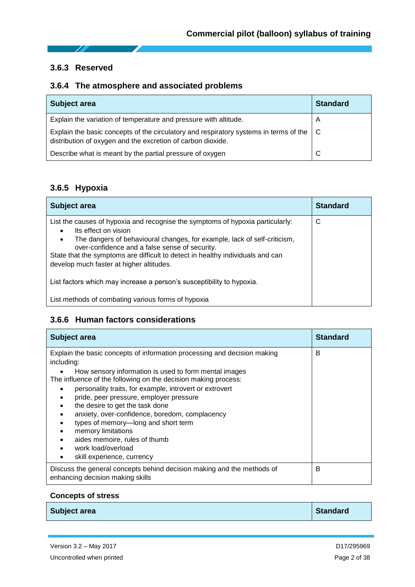## <span id="page-34-0"></span>**3.6.3 Reserved**

Ζ

## <span id="page-34-1"></span>**3.6.4 The atmosphere and associated problems**

| Subject area                                                                                                                                                      | <b>Standard</b> |
|-------------------------------------------------------------------------------------------------------------------------------------------------------------------|-----------------|
| Explain the variation of temperature and pressure with altitude.                                                                                                  | A               |
| Explain the basic concepts of the circulatory and respiratory systems in terms of the $\mathcal C$<br>distribution of oxygen and the excretion of carbon dioxide. |                 |
| Describe what is meant by the partial pressure of oxygen                                                                                                          | C               |

# <span id="page-34-2"></span>**3.6.5 Hypoxia**

| Subject area                                                                                                                                                                                                                                                                                                                                                                                 | <b>Standard</b> |
|----------------------------------------------------------------------------------------------------------------------------------------------------------------------------------------------------------------------------------------------------------------------------------------------------------------------------------------------------------------------------------------------|-----------------|
| List the causes of hypoxia and recognise the symptoms of hypoxia particularly:<br>Its effect on vision<br>$\bullet$<br>The dangers of behavioural changes, for example, lack of self-criticism,<br>$\bullet$<br>over-confidence and a false sense of security.<br>State that the symptoms are difficult to detect in healthy individuals and can<br>develop much faster at higher altitudes. | С               |
| List factors which may increase a person's susceptibility to hypoxia.                                                                                                                                                                                                                                                                                                                        |                 |
| List methods of combating various forms of hypoxia                                                                                                                                                                                                                                                                                                                                           |                 |

## <span id="page-34-3"></span>**3.6.6 Human factors considerations**

| <b>Subject area</b>                                                                                                                                                                                                                                                                                                                                                                                                                                                                                                                                                                                                                          | <b>Standard</b> |
|----------------------------------------------------------------------------------------------------------------------------------------------------------------------------------------------------------------------------------------------------------------------------------------------------------------------------------------------------------------------------------------------------------------------------------------------------------------------------------------------------------------------------------------------------------------------------------------------------------------------------------------------|-----------------|
| Explain the basic concepts of information processing and decision making<br>including:<br>How sensory information is used to form mental images<br>The influence of the following on the decision making process:<br>personality traits, for example, introvert or extrovert<br>$\bullet$<br>pride, peer pressure, employer pressure<br>$\bullet$<br>the desire to get the task done<br>$\bullet$<br>anxiety, over-confidence, boredom, complacency<br>types of memory-long and short term<br>$\bullet$<br>memory limitations<br>$\bullet$<br>aides memoire, rules of thumb<br>$\bullet$<br>work load/overload<br>skill experience, currency | B               |
| Discuss the general concepts behind decision making and the methods of<br>enhancing decision making skills                                                                                                                                                                                                                                                                                                                                                                                                                                                                                                                                   | B               |

#### **Concepts of stress**

| Subject area | <b>Standard</b> |
|--------------|-----------------|
|--------------|-----------------|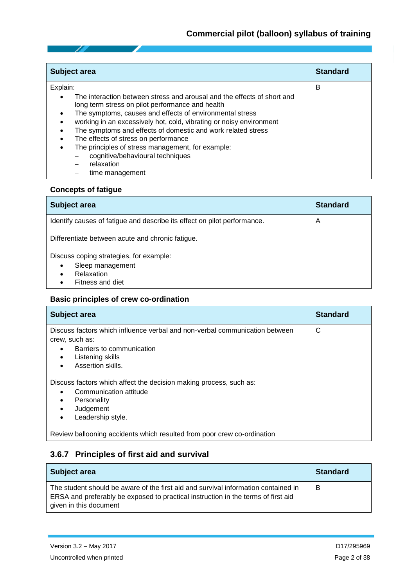| <b>Subject area</b>                                                                                                                                                                                                                                                                     | <b>Standard</b> |
|-----------------------------------------------------------------------------------------------------------------------------------------------------------------------------------------------------------------------------------------------------------------------------------------|-----------------|
| Explain:<br>The interaction between stress and arousal and the effects of short and<br>long term stress on pilot performance and health<br>The symptoms, causes and effects of environmental stress<br>$\bullet$<br>working in an excessively hot, cold, vibrating or noisy environment | В               |
| The symptoms and effects of domestic and work related stress<br>The effects of stress on performance<br>The principles of stress management, for example:<br>cognitive/behavioural techniques<br>relaxation<br>time management                                                          |                 |

## **Concepts of fatigue**

| <b>Subject area</b>                                                      | <b>Standard</b> |
|--------------------------------------------------------------------------|-----------------|
| Identify causes of fatigue and describe its effect on pilot performance. | A               |
| Differentiate between acute and chronic fatigue.                         |                 |
| Discuss coping strategies, for example:                                  |                 |
| Sleep management<br>$\bullet$                                            |                 |
| Relaxation<br>$\bullet$                                                  |                 |
| Fitness and diet                                                         |                 |

# **Basic principles of crew co-ordination**

| Subject area                                                                                                                                                                                               | <b>Standard</b> |
|------------------------------------------------------------------------------------------------------------------------------------------------------------------------------------------------------------|-----------------|
| Discuss factors which influence verbal and non-verbal communication between<br>crew, such as:<br>Barriers to communication<br>$\bullet$<br>Listening skills<br>$\bullet$<br>Assertion skills.<br>$\bullet$ | C               |
| Discuss factors which affect the decision making process, such as:<br>Communication attitude<br>$\bullet$<br>Personality<br>$\bullet$<br>Judgement<br>$\bullet$<br>Leadership style.<br>$\bullet$          |                 |
| Review ballooning accidents which resulted from poor crew co-ordination                                                                                                                                    |                 |

## <span id="page-35-0"></span>**3.6.7 Principles of first aid and survival**

| <b>Subject area</b>                                                                                                                                                                               | <b>Standard</b> |
|---------------------------------------------------------------------------------------------------------------------------------------------------------------------------------------------------|-----------------|
| The student should be aware of the first aid and survival information contained in<br>ERSA and preferably be exposed to practical instruction in the terms of first aid<br>given in this document | B               |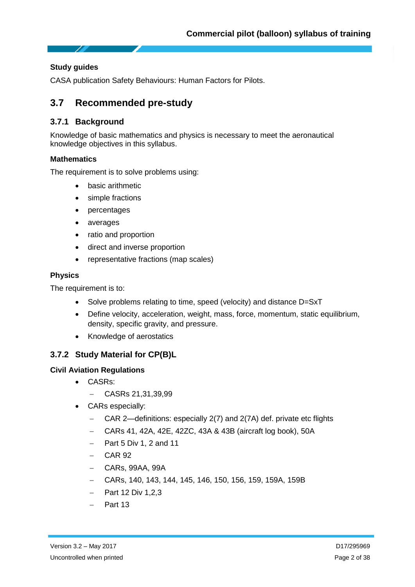#### **Study guides**

CASA publication Safety Behaviours: Human Factors for Pilots.

# <span id="page-36-0"></span>**3.7 Recommended pre-study**

### <span id="page-36-1"></span>**3.7.1 Background**

Knowledge of basic mathematics and physics is necessary to meet the aeronautical knowledge objectives in this syllabus.

#### **Mathematics**

The requirement is to solve problems using:

- basic arithmetic
- simple fractions
- percentages
- averages
- ratio and proportion
- direct and inverse proportion
- representative fractions (map scales)

#### **Physics**

The requirement is to:

- Solve problems relating to time, speed (velocity) and distance D=SxT
- Define velocity, acceleration, weight, mass, force, momentum, static equilibrium, density, specific gravity, and pressure.
- Knowledge of aerostatics

### <span id="page-36-2"></span>**3.7.2 Study Material for CP(B)L**

#### **Civil Aviation Regulations**

- CASRs:
	- CASRs 21,31,39,99
- CARs especially:
	- CAR 2—definitions: especially 2(7) and 2(7A) def. private etc flights
	- CARs 41, 42A, 42E, 42ZC, 43A & 43B (aircraft log book), 50A
	- $-$  Part 5 Div 1, 2 and 11
	- $-$  CAR 92
	- CARs, 99AA, 99A
	- CARs, 140, 143, 144, 145, 146, 150, 156, 159, 159A, 159B
	- Part 12 Div 1,2,3
	- Part 13